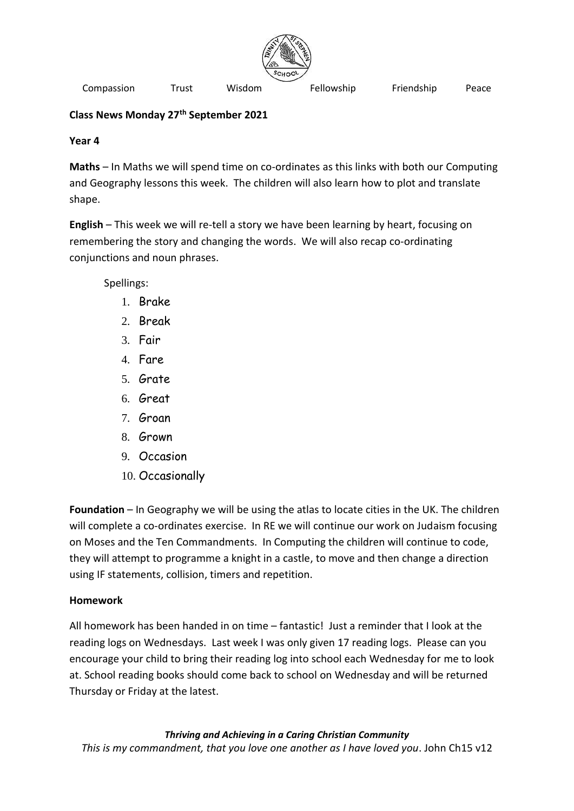

Compassion Trust Wisdom Fellowship Friendship Peace

## **Class News Monday 27th September 2021**

## **Year 4**

**Maths** – In Maths we will spend time on co-ordinates as this links with both our Computing and Geography lessons this week. The children will also learn how to plot and translate shape.

**English** – This week we will re-tell a story we have been learning by heart, focusing on remembering the story and changing the words. We will also recap co-ordinating conjunctions and noun phrases.

Spellings:

- 1. Brake
- 2. Break
- 3. Fair
- 4. Fare
- 5. Grate
- 6. Great
- 7. Groan
- 8. Grown
- 9. Occasion
- 10. Occasionally

**Foundation** – In Geography we will be using the atlas to locate cities in the UK. The children will complete a co-ordinates exercise. In RE we will continue our work on Judaism focusing on Moses and the Ten Commandments. In Computing the children will continue to code, they will attempt to programme a knight in a castle, to move and then change a direction using IF statements, collision, timers and repetition.

## **Homework**

All homework has been handed in on time – fantastic! Just a reminder that I look at the reading logs on Wednesdays. Last week I was only given 17 reading logs. Please can you encourage your child to bring their reading log into school each Wednesday for me to look at. School reading books should come back to school on Wednesday and will be returned Thursday or Friday at the latest.

*Thriving and Achieving in a Caring Christian Community This is my commandment, that you love one another as I have loved you*. John Ch15 v12